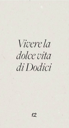*Vivere la dolce vita di Dodici*

12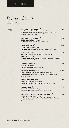# *Prima colazione 08.00 - 16.30*

| OLC |
|-----|
|     |

| Dolce | <b>ROOMBOTER CROISSANT √</b>                                      | 3,50  |
|-------|-------------------------------------------------------------------|-------|
|       | Aardbeien confiture of Nutella hazelnootpasta                     |       |
|       | * All butter croissant with strawberry preserve or Nutella        |       |
|       | chocolate hazelnut spread                                         |       |
|       | <b>ROOMBOTER CROISSANT √</b>                                      | 3,75  |
|       | Zwitsere banketbakkersroom                                        |       |
|       | * All butter croissant with Swiss pastry cream                    |       |
|       |                                                                   |       |
|       | <b>WENTELTEEFJES √</b>                                            | 6,00  |
|       | Van suikerbrood, kaneelsuiker                                     |       |
|       | * French toast made with sugar bread and cinnamon sugar           |       |
|       | <b>GRIEKSE YOGHURT √</b>                                          | 6,50  |
|       | Glutenvrije granola, notenmix en gewelde vijgen                   |       |
|       | Extra vers fruit $+3,50$                                          |       |
|       | * Greek yoghurt with gluten-free Granola, nut mix and soaked figs |       |
|       | Fresh fruits extra $+3,50$                                        |       |
|       |                                                                   |       |
|       | <b>VERS FRUITSALADE V</b>                                         | 6,00  |
|       | Fruit van het seizoen                                             |       |
|       | * Fresh fruit salad with seasonal fruits                          |       |
|       |                                                                   |       |
|       | <b>BRAZILIAN BREAKFAST √</b>                                      | 10,50 |
|       | Açai, glutenvrije granola, banaan, blauwe bessen                  |       |
|       | * Brasilian breakfast with açai berries, gluten-free granola,     |       |
|       | banana, blueberries                                               |       |
| в     | <b>LEMON CHEESECAKE V</b>                                         | 4,25  |
|       | Frambozen gel, yoghurt crumble                                    |       |
|       | * Lemon cheesecake with raspberry gel, yogurt crumble             |       |
|       |                                                                   |       |
|       | <b>CARROT CAKE √</b>                                              | 3,75  |
|       | Boter crème, pistachenootjes, pecannoten                          |       |
|       | * Carrot cake with butter cream, pistachios, pecans               |       |
|       | <b>BONBONS VAN CHOCOLATERIE "VAN DAM" V</b>                       | 1,75  |
|       | Keuze uit 6 soorten, prijs per stuk                               |       |
|       | * Chocolates from Chocolatier 'Van Dam' 6 different flavours,     |       |
|       | price per chocolate                                               |       |
|       |                                                                   |       |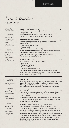# *Prima colazione 08.00 - 16.30*

# *Cordiale*

*Ambachtelijk tarwebrood, met keuze uit meergranenof licht brood*

*Artisanal bread, with a choice of multigrain or light bread* ROOMBOTER CROISSANT V<sub>4,50</sub>

Livar boerenham of oude kaas (warm/koud) Ham plus kaas +1,00 *\* All butter croissant with Livar pork farmer's ham or matured cheese (warm / cold) / Ham plus cheese +1.00*

## **62 GRADEN EITJES - 2 STUKS 6,50**

Zacht & lopend, getoast brood, spinazie, Hollandaise saus Supplement: - Hollandse garnalen (+5,00)

- 
- Pancetta (+3,00)
- Parmezaanse kaas en truffel (+5,00)

*\* 'Eggs benedict' naturel made with two 62 degree eggs on toasted bread of your choice, spinach, Hollandaise sauce Supplement: Dutch shrimps (+5.00) / Pancetta (+3.00) / Parmesan cheese and truffle (+5.00)* 

## **SCRAMBLED EGGS ◀** 6,00

Scharreleieren, room, brood naar keuze Supplement; - Tomaat & kaas (+2,50)

- Pancetta (+3,00)
- Tomaat, kaas & Pancetta (+5.00)

*\* Scrambled eggs made with Free-range eggs, cream, bread of your choice. Supplement; tomato & cheese (+2.50) / Pancetta (+3.00) / cheese, tomato & Pancetta (+5.00)*

# *Colazione completa*

*Ambachtelijk tarwebrood, met keuze uit meergranenof licht brood*

*Artisanal bread, with a choice of multigrain or light bread*

## **GEZOND ↑** 12,50

Verse fruitsalade, Griekse yoghurt met glutenvrije granola, notenmix en gewelde vijgen, speltcracker, oude kaas, verse jus d'orange *\* Healthy: Fresh fruit salad, Greek yogurt with gluten-free granola, nut mix and soaked* !*gs, spelled cracker, old cheese, fresh orange juice*

## **BELEGEN ▼** 15,00

Roomboter croissant met aardbeien confiture, wentelteefie van suikerbrood met kaneelsuiker, roerei naturel, brood naar keuze, verse jus d'orange

*\* Indulgent: All butter croissant with strawberry preserve, French toast of sugar bread with cinnamon sugar, Scrambled eggs plain, bread of your choice, fresh orange juice*

## **COMPLEET** *(vanaf 2 personen, prijs per persoon)* **17,50** Verse fruitsalade, Griekse yoghurt met glutenvrije granola,

notenmix en gewelde vijgen, roomboter croissant met aardbeien confiture, wentelteefje van suikerbrood met kaneelsuiker, roerei naturel, brood naar keuze, verse jus d'orange

*\* Complete indulgence (for 2, price per person): fresh seasonal fruit*  salad, Greek yogurt with gluten-free granola, nut mix and soaked figs, *all butter croissant with strawberry preserve, French toast of sugar bread with cinnamon sugar, scrambled eggs plain, bread of your choice, fresh orange juice*

3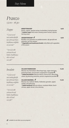*Pranzo 12.00 - 16.30*

# *Zuppe*

*\* Geserveerd met ambachtelijk tarwebrood, boter, hojiblanca olijfolie* 

*en zeezout \**

**KREEFTENSOEP 8,50** 

Room, cognac, gamba tartaar, knolselderij, haring kaviaar *\* Lobster soup; with cream, brandy, prawn tartare, celeriac, herring caviar*

## GROENTENSOEP **8,50**

Bouillon van groenten en paddenstoelen, rijk gevuld met groenten van het seizoen *\* Vegetable and mushroom broth; richly* !*lled with vegetables of the season*

*\* Served with artisan bread, butter, hojiblanca olive oil and sea salt \**

## *Insalate*

*\* Geserveerd met ambachtelijk tarwebrood, boter, hojiblanca olijfolie en zeezout \**

**SALADE PARMAHAM 15,50**

Mesclun sla, Parmaham, Manchego kaas, vijgen dressing, pistachenootjes, pecannoten (vegetarisch mogelijk  $\blacktriangledown$ ) *\* Salad Parmaham: Mesclun lettuce, Parma ham, Manchego cheese,* !*g dressing, pistachios, pecans (vegetarian possible )*

## **SALADE MAKREEL ◆** 15,50

Mesclun sla, makreel rillette, Hollandse garnalen, appel, venkel, citrusdressing *\* Salad mackerel: Mesclun lettuce, mackerel rillette, Dutch shrimps, apple, fennel, citrus dressing*

*\* Served with artisan bread, butter, hojiblanca olive oil and sea salt \**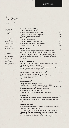# *Pranzo 12.00 - 16.30*

*Pane e Pasta*

*Ambachtelijk tarwebrood, met keuze uit meergranenof licht brood*

*Artisanal bread, with a choice of multigrain or light bread*

## **BRUSCHETTA FOCACCIA**

| - Tomaat, Basilicumcrème                       | 5,50  |
|------------------------------------------------|-------|
| - Tomaat, Burrata, balsamicostroop             | 10,50 |
| - Tomaat, Parmaham, Hojiblanca olijfolie       | 10,50 |
| - Tomaat, Huisgemarineerde zalm                | 10,50 |
| * Bruschetta focaccia:                         |       |
| - Tomato, Basil cream $\sqrt{}$                | 5,50  |
| - Tomato, Burrata / balsamic syrup $\sqrt{\ }$ | 10,50 |
| - Tomato, Parma ham / Hojiblanca olive oil     | 10,50 |
| - Tomato, House marinated salmon               | 10,50 |
|                                                |       |

## **SANDWICH KIP 11,00**

Gemarineerde maïskipfilet, sla, tomaat, komkommer, ei, Parmaham, kruiden crème van kervel, dragon, peterselie *\* Sandwich chicken: marinated corn chicken breast, lettuce, tomato, cucumber, egg, Parma ham, herbal cream of chervil, tarragon, parsley*

## **SANDWICH KAAS 8,50**

Manchego of Gorgonzola piccante, sla, gewelde vijgen, peer, komkommer, hojiblanca olijfolie *\* Sandwich cheese: Manchego or Gorgonzola spicy cheese, lettuce, mighty* !*gs, pear, cucumber, hojiblanca olive oil* 

## **GROOTMEESTER KALFSKROKETTEN V 8,00**

2 stuks kalfskroketten, Dyon mosterd, brood *\* Grootmeester croquettes (veal): 2 pieces of veal croquettes, Dijon mustard, bread*

## **KAASFONDUE √** 10,00

Fondue van Hollandse kazen, brood - crudite voor bij de kaasfondue, supplement +5,00 (wortel, komkommer, paprika en bleekselderij om mee te dippen) *\* Cheese fondue of Dutch cheeses: with bread - crudite for the cheese fondue +5.00*

*(carrot, cucumber, bell pepper and celery for dipping)*

## **RISOTTO ↑** 12,00

Beukenzwammetjes, Parmezaanse kaas, crème fraîche, truffel *Risotto with beech mushrooms, Parmesan cheese, creme fraiche,*   $tr$ *uffle* 

## **DODICI LUNCHMENU 24,00**

Bruschetta bite, diverse anti pasti, risotto (naar keuze vis, vlees, vegetarisch  $\blacktriangledown$ ), dessert du chef (Dit lunch menu serveren we uitsluitend per tafel, tot 15.30u) *\* Dodici lunch menu: Bruschetta bite, various antipasti, risotto (choice of* !*sh, meat, vegetarian ), dessert du chef (We only serve this lunch menu per table, until 3.30 pm)*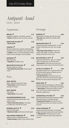*Day & Evening Menu*

# *Antipasti - koud 12.00 - 22.00*

# *Vegetariano*

## **BROOD ◆** 5,75 Hojiblanca olijfolie, roomboter, zeezout

*\* Bread: Hojiblanca olive oil, butter, sea salt*

## **KNOFLOOK OLIJVEN ↓ 4,50** *\* Garlic olives*

## **CRUDITÉ ▼**5,50

Wortel, komkommer, paprika, bleekselderij, kruiden crème van dragon, kervel, peterselie *\* Crudité: carrot, cucumber, bell pepper, celery, herbal cream of tarragon, chervil, parsley*

| <b>PAPADUM V</b>                  | 5,50 |
|-----------------------------------|------|
| Bloemkool dip                     |      |
| <b>* Papadum:</b> Cauliflower dip |      |

**BRUSCHETTA FOCACCIA √ 2,75** Tomaat, basilicum crème *\* Bruschetta focaccia bite: Tomato, basil cream*

```
Pesce
```

| <b>GEAY OESTER</b>                          | 4.00 |
|---------------------------------------------|------|
| Sjalot, Cabernet Sauvignon azijn            |      |
| * Geay Oyster: Shallot, Cabernet            |      |
| Sauvignon vinegar                           |      |
| <b>GEAY OESTER</b>                          | 4,25 |
| Yuzu parels                                 |      |
| * Geay Oyster: Yuzu pearls                  |      |
| <b>HUISGEMARINEERDE ZALM</b>                | 7,50 |
| In glühwein gemarineerde zalm, met          |      |
| citroen crème                               |      |
| * Home marinated salmon; marinated          |      |
| in mulled wine, with lemon cream            |      |
| <b>MAKREEL RILETTE √</b>                    | 6,50 |
| <b>Granny Smith appel</b>                   |      |
| * Mackerel rilette; with Granny Smith apple |      |

## HOLLANDSE GARNALEN 10,00

Saffraan crème, aardappelkaantjes *\* Dutch shrimps: sa*"*ron cream, potato chips*

## *Formaggi*

## **BURRATA 6,00**

Mozzerella uit Puglia, gevuld met room *\* Burrata: Mozzarella from Puglia,* !*lled with cream*

## **MANCHEGO VIEJO 5,50**

Gepasteuriseerde schapenmelk, 12 mnd gerijpt, mild pittig, iets zoet met vleugje noot

*\* Manchego Viejo cheese: Pasteurized sheep's milk, aged 12 months, mild spicy, slightly sweet with a hint of nut*

## BOCCONCINO 3 LATTI **1** 5,50

Gepasteuriseerde koe-, geit- en schapenmelk | smeuïge kaas uit de Piemonte *\* Bocconcino; Pasteurized cow, goat and sheep milk, creamy cheese from the Piemonte*

## **OCCELLI AL BAROLO 17.00**

Gepasteuriseerde koe- en geitenmelk, kaas uit de Piemonte, gerijpt in Barolo wijn en bedekt met druiven most

*\* Occelli al Barolo: Pasteurized cow and goat milk, cheese from the Piemonte, aged in Barolo wine and covered with grape must*

## RODE FRIES **4.50**

Gepasteuriseerde biologische volle koemelk, Friese roodflora kaas uit Wolvega, licht pittig *\* "Red Frisian": Pasteurized organic whole cow's milk, Frisian red* #*ora cheese from Wolvega, slightly spicy*

## GORGONZOLA PICANTE **6,00**

Gepasteuriseerde koemelk, Italiaanse pittige blauwader kaas, 6 maanden gerijpt *\* Gorgonzola Picante: Pasteurized cow's milk, Italian spicy blue vein cheese, 6 months matured*

## **OUDE SUPERIEUR ↓ 5,50**

Gepasteuriseerde koemelk, 18 maanden gerijpt, robuuste smaak, lichte zout kristallen *\* "Old Superior" Pasteurized cow's milk, 18 months matured, robust taste, light salt crystals*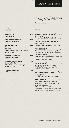*Day & Evening Menu*

# *Antipasti-warm 12.00 - 22.00*

## *Diverso*

*Salumi*

| <b>PARMAHAM</b><br>* Parma ham            | 8,00 | <b>VEGAN BITTERBALLEN (4X)</b><br>6,00<br>Bloemkool dip |  |
|-------------------------------------------|------|---------------------------------------------------------|--|
|                                           |      | * Vegan 'bitterballen' (4x): Cauliflower dip            |  |
| <b>CHORIZO CAPA NEGRA</b>                 | 7,00 |                                                         |  |
| * Chorizo capa negra                      |      | GARNALEN BITTERBALLEN (4X) 12,00<br>Saffraan crème      |  |
| <b>EENDEN RILETTE</b>                     | 8,00 | * Shrimp 'bitterballen' (4x): Saffron cream             |  |
| Eendenbout, eendenlever en cognac         |      |                                                         |  |
| pruimen                                   |      | ARANCINI (4X)<br>6,00                                   |  |
| * Duck rillette; Duck leg, duck liver and |      | Risotto balletjes met mozzarella, padden-               |  |
| cognac plums                              |      | stoel en truffel, kruiden crème van dragon,             |  |
|                                           |      | kervel en peterselie                                    |  |
| <b>SALAME AL TARTUFO</b>                  | 8,00 | * Arancini (4x): Risotto balls with mozzarella,         |  |
| <i>* Salame al Tartufo</i>                |      | mushroom and truffle, herbal cream of                   |  |
|                                           |      | tarragon, chervil and parsley                           |  |
| <b>GEROOKTE OSSEWORST</b>                 | 7,00 |                                                         |  |
| Met piccalilly dip                        |      | YAKITORI (4X)<br>7,00                                   |  |
| * Smoked raw beef ox sausage;             |      | Kipspiesjes met Japanse sesamsaus                       |  |
| with piccally dip                         |      | * Yakitori (4x): Chicken skewers with                   |  |
|                                           |      | Japanese sesame sauce                                   |  |
| <b>WILD ZWIJN WORST</b>                   | 7,50 |                                                         |  |
| * Wild boar sausage                       |      | KALFSVLEES BITTERBALLEN(4X) ↓ 6,00                      |  |
|                                           |      | Dyon mosterd                                            |  |
|                                           |      | * Veal 'bitterballen' (4x): Dijon mustard               |  |
|                                           |      |                                                         |  |

KAASFONDUE **10,00** Fondue van Hollandse kazen, brood Supplement: Crudité (wortel, komkommer, paprika, bleekselderij) +5.00

*\* Cheese fondue: of Dutch cheeses / bread Supplement: Crudité (carrot, cucumber, bell pepper, celery) for the cheese fondue +5.00*

7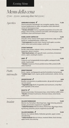*Evening Menu*

# *Menu della cena 17.00 - 22.00 (aanvang diner tot 22.00)*

*Aperitivo* 

## **VERDURE DI DODICI Ⅴ** 11,50

Diverse groenten bereidingen van courgette, paprika, cherry tomaat, paddenstoel en radijs, met paprika coulis, bloemkool crème en Parmezaanse kaas

*\* Verdure di Dodici: Various vegetable preparations of zucchini, bell pepper, cherry tomato, mushroom and radish, with bell pepper coulis, cauli*#*ower cream and Parmesan cheese*

## **KABELJAUW CARPACCIO** 13,50

Avocado crème, Granny Smith appel, komkommer, radijs, kruiden, basilicum, aardappelkaantjes, vanille zout *\* Cod carpaccio; avocado cream, Granny Smith apple, cucumber, radish, herbs, basil, potato wedges, vanilla salt*

### **STEAK TARTAAR 13,50**

Runder steak tartaar, eidooier crème, cornichons, Amsterdams ui, kappertjes, desem croutons

*\* Beef steak tartare; with egg yolk cream, cornichons, Amsterdam onions, capers, sourdough croutons*

## **HERT V** 13,50

Carpaccio van huisgepekelde hertenrugfilet, aardappel/truffel salade, hazelnootjes

*\* Venison: Carpaccio of home-pickled venison* !*llet, potato/tru*\$*e salad, hazelnuts*

*Piatto intermedio*

## **KREEFTENSOEP 8,50**

Room, cognac, zachtgegaarde gamba, knolselderij, haring kaviaar *\* Lobster soup: Cream, cognac, gently cooked prawn, celeriac, herring caviar*

## **GROENTESOEP ▼ 8,50**

Bouillon van groenten en paddenstoelen, rijk gevuld met groenten van het seizoen

*\* Vegetable soup: Broth of vegetables and mushrooms, richly* !*lled with vegetables of the season*

## **RISOTTO ↑** 12,00

Beukenzwammetjes, Parmezaanse kaas, crème fraîche, truffel crème *\* Risotto with beech mushrooms, Parmesan cheese, crème frache, tru*\$*e cream*

*Insalate* 

## **SALADE PARMAHAM 15,50**

Mesclun sla, Parmaham, Manchego kaas, vijgen dressing, pistachenootjes, pecannoten (vegetarisch mogelijk  $\blacktriangledown$ ) *\* Salad Parmaham: Mesclun lettuce, Parma ham, Manchego cheese,*  !*g dressing, pistachios, pecans (vegetarian possible )*

## **SALADE MAKREEL V** 15,50

Mesclun sla, makreel rillette, Hollandse garnalen, appel, venkel, citrusdressing *\* Salad mackerel: Mesclun lettuce, mackerel rillette, Dutch shrimps, apple, fennel, citrus dressing*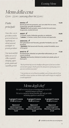# *Menu della cena 17.00 - 22.00 (aanvang diner tot 22.00)*

*Piatto principale*

*Onze vlees- en visgerechten worden geserveerd met een regelmatig wisselend, passend, aardappel- en groente garnituur*

## **RAVIOLI ▼** 12,50

Ravioli gevuld met pompoen, saus van witte Port en room, Gorgonzola, gerookte amandelen *\* Ravioli* !*lled with pumpkin, sauce of white Port and cream, Gorgonzola, smoked almonds*

## **KREEFT ↑** 24,00

1/2 kreeft, risotto, Hollandse garnalen en salieboter *\* Lobster: 1/2 lobster, risotto, Dutch shrimps and sage butter*

## **ZEEDUIVEL 21,00**

Filet gebardeerd met Pancetta, gerookte Portabella, saus van fenegriek *\* Monk***!***sh: Fillet barred with Pancetta, smoked Portabella, sauce of fenugreek*

**BAVETTE 17,50** Runderbavette, bitterbal van gekonfijte kalfssukade, jus van zwarte knoflook

*\* Bavette: Beef bavette, bitterbal of candied veal sukade, gravy of black garlic*

*\* Bij de portionering van onze hoofdgerechten gaan wij uit van een diner van meerdere gangen. Heeft u grote trek, dan passen wij die graag voor u aan voor een kleine meerprijs \**

*\* Our portions are served based on multiple courses being ordered. If you would like a larger portion, our kitchen staff would be happy to comply for a small supplement \**

# *Menu degli chef*

*Per tafel serveren wij een verrassingsmenu van de chef inclusief amuses en brood We serve a surprise menu from the chef, only per table, including appetizers and bread*

**3-gangen/3-course 37,00** *(price p.p.)*

*Bijpassend wijnarrangement Matching wine pairing 16,50*

**4-gangen/4-course 45,00** *(price p.p.)*

*Bijpassend wijnarrangement Matching wine pairing 22,00*

**5-gangen/5-course 52,50** *(price p.p.)*

*Bijpassend wijnarrangement Matching wine pairing 27,50*

 $\sqrt{\ }$  = suitable to eat when you are pregnant

*Our meat and fsh dishes are served with a regularly changing, appropriate, potato and vegetable garnish*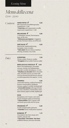*Evening Menu*

# *Menu della cena 17.00 - 22.00*

## *Contorni*

## **VERSE FRITES ◀ 4,50**

Met mayonaise of truffelmayonaise (supplement +1,00)  $*$  **Fresh fries** with mayonnaise or truffle *mayonnaise (supplement +1.00)*

MELANZANE ▼ 5,00

½ Aubergine, tomaat, Parmezaanse kaas, uit de oven *\* Melanzane parmigiana:* ½ *Eggplant, tomato, Parmesan cheese, out of the oven*

## **SIDE SALAD ◀** 4,50

Mesclunsla, hazelnootdressing, tomaatjes, noten, kruiden *\* Side salad: Mesclun lettuce, hazelnut dressing, tomatoes, nuts, herbs*

*Dolci*

## **SCROPPINO 7,50**

Citroen sorbet, Prosecco, wodka *\* Scroppino: lemon sorbet, Prosecco, vodka*

## **MOELLEUX AU CHOCOLAT ↓ 9,50**

Warm chocoladetaartje, chocolade mousse, roomijs met bokkepootjes, amandel crumble *(bereiding ca. 12 min) \* Moelleux au chocolat: Warm chocolate cake, chocolate mousse, ice cream with crunchy almond/chocolat biscuit, almond crumble (preparation time approx. 12 min)*

## **TIRAMISU 9,50**

Limoncello tiramisu, yoghurt/honing ijs, bramen marshmallow, aardbeien cremeux, yoghurt crumble, frambozengel *\* Limoncello tiramisu with yogurt/honey ice cream, blackberry marshmallow, strawberry cremeux, yogurt crumble, raspberry gel*

## **KAAS 16,00**

Kaasplateau met 3 kazen, met notenbrood, kweepeer gelei en Portsiroop *\* Cheese platter: with 3 cheeses, with nut bread, quince jelly and Port syrup*

## FRIANDISES **6,50**

4 stuks huisgemaakte patisserie *\* Friandise: home-made pastry (4 pieces)*

## **BONBONS ↑** 1,75

Chocolaterie Van Dam, keuze uit 6 soorten, *prijs per stuk \* Chocolates Chocolatier 'Van Dam'*   $6$  *different flavours, price per chocolate*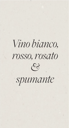# *Vino bianco, rosso, rosato*  $\mathscr{E}$

*spumante*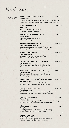# *Vino bianco*

| <i>White wine</i> | <b>CANTINA TUDERNUM LE LUCREZIE</b><br><b>Umbria, Italy</b>                                                                               | 4,50   22,50   |
|-------------------|-------------------------------------------------------------------------------------------------------------------------------------------|----------------|
|                   | Grechetto/Trebbiano/Garganegg - fris droog - kruidig - wit fruit<br>* Grechetto / Trebbiano / Garganegg - fresh dry - spicy - white fruit |                |
|                   | <b>FEUDO ARANCIO GRILLO</b><br><b>Sicily, Italy</b>                                                                                       | 5,00   25,00   |
|                   | Tropisch - rijp fruit - fijne zuurtjes<br>* Tropical - ripe fruit - fine acidity                                                          |                |
|                   | <b>NIUS VERDEJO/ SAUVIGNON BLANC</b><br><b>Rueda, Spain</b>                                                                               | 5,50   27,50   |
|                   | Smaakvol - crispy & droog - anijs<br>* Tasty - crispy & dry - anise                                                                       |                |
|                   | <b>FERNANDS SAUVIGNON BLANC</b><br><b>Marlborough, New Zealand</b>                                                                        | $6,00$   30,00 |
|                   | Citroen & passievrucht - aromatisch - fris & stuivend<br>* Lemon & passion fruit - aromatic - fresh & dusty                               |                |
|                   | <b>ALBA MARTIN ALBARIÑO</b><br>Rias Baixas, Spain                                                                                         | $6,00$   30,00 |
|                   | Loepzuiver - mineraal - citrus & grapefruit<br>* Flawless - mineral - citrus & grapefruit                                                 |                |
|                   | <b>CELLIERS DES CHARTREUX VIO VIOGNIER</b><br>Languedoc, France                                                                           | $6,00$   30,00 |
|                   | Fruitig - exotisch - soepel en rond - lichte vanille<br>* Fruity - exotic - smooth and round - light vanilla                              |                |
|                   | <b>TENUTA GAGGINO GAVI LA SVERSA</b><br><b>Piedmont, Italy</b>                                                                            | $6,25$ 31,25   |
|                   | Cortese - grapefruit - geconcentreerd - levendig<br>* Cortese - grapefruit - concentrated - lively                                        |                |
|                   | <b>DOMAINE PAUL MAS LES FAÏSSES CHARDONNAY</b><br>Languedoc, France                                                                       | $6,25$ 31,25   |
|                   | Krachtig & rond - tropisch - vanille - fijne balans<br>* Powerful & round - tropical - vanilla - fine balance                             |                |
|                   | <b>MAS DE LA DEVÈZE PANDORE</b><br><b>Roussillon, France</b>                                                                              | $6,75$   33,75 |
|                   | Macabeu/Grenache Blanc - hout - delicaat - gastronomisch<br>* Macabeu / Grenache Blanc - wood - delicate - gourmet                        |                |
|                   | <b>NIUS VERDEJO BARRICA</b><br>Rueda, Spain                                                                                               | 38,00          |
|                   | Verdejo met houtlagering - opvallende balans - citrus & honing<br>* Verdejo with wood - striking balance - citrus & honey                 |                |
|                   | <b>RÉGIS JOUAN SANCERRE</b><br>Loire, France                                                                                              | 38,00          |
|                   | Levendig & verfrissend - klassiek - mineraal - sappig<br>* Lively & refreshing - classic - mineral - juicy                                |                |
|                   | <b>HESS CHARDONNAY</b><br><b>California, United States</b>                                                                                | 39,00          |
|                   | Krachtig - zuiver - stevige structuur - vanille & toast<br>* Powerful - clean - firm structure - vanilla & toast                          |                |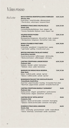# *Vino rosso*

 $Red$  *wine* 

| ROCCA VENTOSA MONTEPULCIANO D'ABRUZZO<br>Abruzzo, Italy                                                                                | 4,50   22,50   |
|----------------------------------------------------------------------------------------------------------------------------------------|----------------|
| Pruim & kers - zwoel & kruidig - allemansvriend<br>* Plum & cherry - sultry & spicy - everyone's friend                                |                |
| <b>DOMENICO FRACCAROLI VALPOLICELLA</b><br><b>Veneto, Italy</b>                                                                        | 5,50   27,50   |
| Corvina/Rondinella/Molinara - hout - elegant - rijp<br>* Corvina / Rondinella / Molinara - wood - elegant - ripe                       |                |
| <b>VELENOSI ROSSO PICENO</b><br>Le Marche, Italy                                                                                       | 5,50   27,50   |
| Montepulciano/Sangiovese - dik rood fruit - body - smaakvol<br>* Montepulciano / Sangiovese - thick red fruit - body - tasty           |                |
| <b>BORGO STAJNBECH PINOT NERO</b><br><b>Veneto, Italy</b>                                                                              | $6,00$   30,00 |
| Lichtvoetig - opwekkend - 4 maanden hout - sappig<br>* Light-footed - uplifting - 4 months wood - juicy                                |                |
| <b>BERTON VINEYARDS THE BLACK SHIRAZ</b><br><b>South Africa, Australia</b>                                                             | 6,00   30,00   |
| Zwarte bes & pruimen - koffie & peper - rijk & kruidig                                                                                 |                |
| * Blackcurrant & plum - coffee & pepper - rich & spicy                                                                                 |                |
| <b>CANTINA STROPPIANA LANGHE ROSSO</b><br><b>Piedmont, Italy</b>                                                                       | 6,50   32,50   |
| Nebbiolo - klassiek - subtiel - harmonieus<br>* Nebbiolo - classic - subtle - harmonious                                               |                |
| <b>MARQUES DE VARGAS RIOJA RESERVA</b><br>Rioja, Spain                                                                                 | 7,50   37,50   |
| Balans - truffel & vanille - salmiak - rijp fruit<br>* Balance - truffle & vanilla - salmiak - ripe fruit                              |                |
|                                                                                                                                        |                |
| <b>BOEKENHOUTSKLOOF THE CHOCOLATE BLOCK</b><br><b>Franschhoek, Zouth Africa</b>                                                        | 49,50          |
| Zwart fruit - peper & kruiden - krachtig - 16 maanden Frans eiken<br>* Black fruits - pepper & herbs - powerful - 16 months French oak |                |
| <b>CANTINA STROPPIANA BAROLO "LEONARDO"</b><br><b>Piedmont, Italy</b>                                                                  | 54,50          |
| Aardse aroma's - elegant - gestoofd fruit - zachte tannine<br>* Earthy aromas - elegant - stewed fruit - soft tannins                  |                |
| <b>CANTINA RICCIO "APPIA ANTICA"</b><br>Compania, Italy                                                                                | 59,50          |
| Aglianico - Barolo van het zuiden - evenwicht - hout rijping<br>* Aglianico - Barolo van het zuiden - evenwicht - hout rijping         |                |
| <b>DOMENICO FRACCAROLI AMARONE</b><br><b>Veneto, Italy</b>                                                                             | 64,50          |
| Intens - vol & fruitig - geconcentreerd - vanille - ronde afdronk<br>* Intense - full & fruity - concentrated - vanilla - round finish |                |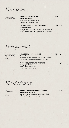# *Vino rosato*

*Rose wine*

## **LES VIGNES GRENACHE ROSÉ 4,50 | 22,50**

*Languedoc, France* Kersen - droog - verfrissend - sappig *\* Cherries - dry - refreshing - juicy*

## **CHATEAU DU ROUËT PAMPLOON ROSÉ 6,00 | 30,00** *Provence, France*

Klein rood fruit - fris droog - veel smaak - verkwikkend *\* Small red fruits - fresh dry - lots of* #*avor - invigorating*

*Vino spumante*

*Sparkling wine*

**DOMUS PICTA BRUT PROSECCO 6,00 | 30,00**  *Veneto, Italy* Spumante - fruitig - fijne mousse - stuivend & rond *\* Spumante - fruity -* !*ne mousse - dusty & round*

**VEUVE CLICQUOT BRUT CHAMPAGNE 69,50** *Champagne, France* Stevig - appel - citrus - fris *\* Firm - apple - citrus - fresh*

*Vino da dessert*

*Dessert wine*

**WEINGUT DORWAGEN BEERENAUSLESE 6,00**  *Rheinhessen, Germany* Silvaner - honing - abrikoos - subtiel zoet - finale *\* Silvaner - honey - apricot - subtly sweet -* !*nal*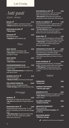# *Anti-pasti 22.00 - 00.00*

**BROOD ▼** 5,75 Hojiblanca olijfolie, roomboter, zeezout *\* Bread: Hojiblanca olive oil, butter, sea salt*

**KNOFLOOK OLIJVEN ✔ 4,50** *\* Garlic olives*

**PAPADUM 4.50** Met bloemkooldip *\* Papadum with cauli*#*ower dip*

# *Pesce*

| <b>GEAY OESTER</b><br>Sjalot, Cabernet Sauvignon azijn<br>* Geay Oyster: with shallot, Cabernet<br>Sauvignon vinegar | 4.00 |
|----------------------------------------------------------------------------------------------------------------------|------|
| <b>GEAY OESTER</b><br>Yuzu parels<br>* Geay Oyster: with yuzu pearls                                                 | 4.25 |
| <b>HUISGEMARINEERDE ZALM</b><br>In glühwein gemarineerde zalm, met                                                   | 7.50 |

citroen crème *\* Home marinated salmon; in mulled wine, with lemon cream*

## **MAKREEL RILETTE V** 6,50

Granny Smith appel *\* Mackerel rilette; with Granny Smith apple*

**HOLLANDSE GARNALEN 10,00**

Saffraan crème, aardappelkaantjes *\* Dutch shrimps; sa*"*ron cream, potato crisps*

# *Formaggi*

## **BURRATA 6,00**

Mozzarella uit Puglia, gevuld met room *\* Burrata: Mozzarella from Puglia,* !*lled with cream*

## **MANCHEGO VIEJO 6,00**

Gepasteuriseerde schapenmelk, 12 mnd gerijpt, mild pittig, iets zoet met een vleugje noot

*\* Manchego Viejo: Pasteurized sheep's milk, aged for 12 months, mildly spicy, slightly sweet with a hint of nut*

## **BOCCONCINO 3 LATTI √ 5,50**

Gepasteuriseerde koe-, geit- en schapenmelk, smeuïge kaas uit de Piemonte *\* Bocconcino; Pasteurized cow, goat and sheep milk, creamy cheese from the Piemonte*

## **OCCELLI AL BAROLO ▼ 7,00**

Gepasteuriseerde koe- en geitenmelk, kaas uit de Piemonte, gerijpt in Barolo wijn en bedekt met druiven most

*\* Occelli al Barolo: Pasteurized cow and goat milk, cheese from the Piemonte, aged in Barolo wine and covered with grape must*

## **RODE FRIES √** 4,50

Gepasteuriseerde biologische volle koemelk, Friese roodflora kaas uit Wolvega, licht pittig *\* "Red Frisian": Pasteurized organic whole cow's milk, Frisian red* #*ora cheese from Wolvega, slightly spicy*

## **GORGONZOLA PICANTE V 6,00**

Gepasteuriseerde koemelk, Italiaanse pittige blauwader kaas, 6 maanden gerijpt *\* Gorgonzola Picante: Pasteurized cow's milk, Italian spicy blue vein cheese, 6 months matured*

## **OUDE SUPERIEUR √** 5,50

Gepasteuriseerde koemelk, 18 maanden gerijpt, robuuste smaak, lichte zout kristallen *\* "Old Superior" Pasteurized cow's milk, 18 months matured, robust taste, light salt crystals*

## *Salumi*

| <b>PARMAHAM</b><br>* Parma ham | 8,00 |
|--------------------------------|------|
| CHORIZO CAPA NEGRA             | 7 OO |

| <b>CHORIZO CAPA NEGRA</b>    | 7,00 |
|------------------------------|------|
| <u>* Chorizo capa negra </u> |      |
|                              |      |

**EENDEN RILETTE 8,00** Eendenbout, eendenlever en cognac pruimen *\* Duck rillette; Duck leg, duck liver and cognac plums*

| <b>SALAME AL TARTUFO</b>   | 8,00 |
|----------------------------|------|
| <i>* Salame al Tartufo</i> |      |

| <b>GEROOKTE OSSEWORST</b>          | 7,00 |
|------------------------------------|------|
| Met piccalilly dip                 |      |
| * Smoked raw beef ox sausage; with |      |
| piccally dip                       |      |
|                                    |      |

| <b>WILD ZWIJN WORST</b> | 7,50 |
|-------------------------|------|
| * Wild boar sausage     |      |

= suitable to eat when you are pregnant